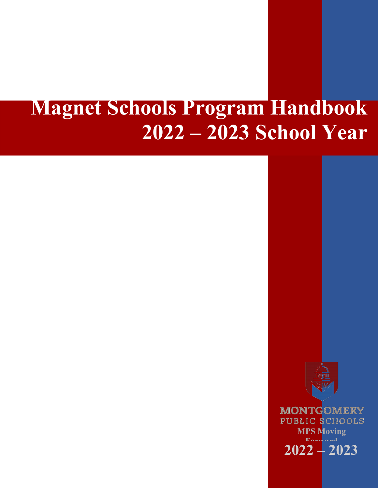# **Magnet Schools Program Handbook 2022 – 2023 School Year**

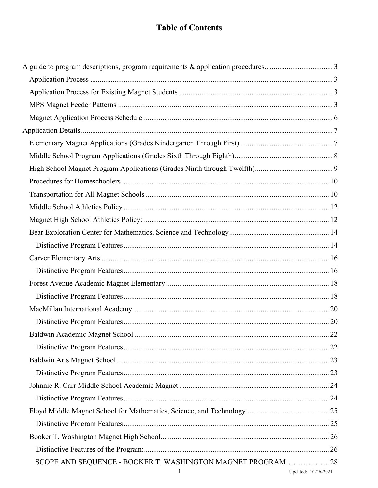## **Table of Contents**

| SCOPE AND SEQUENCE - BOOKER T. WASHINGTON MAGNET PROGRAM28 |                     |
|------------------------------------------------------------|---------------------|
| 1                                                          | Updated: 10-26-2021 |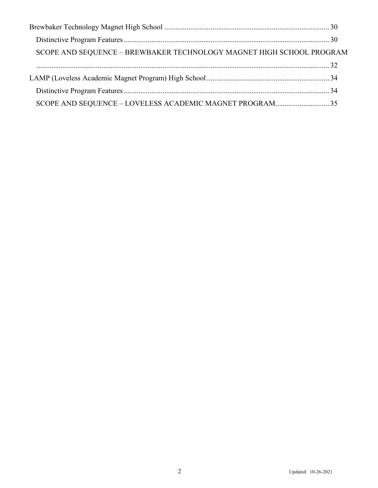| SCOPE AND SEQUENCE - BREWBAKER TECHNOLOGY MAGNET HIGH SCHOOL PROGRAM |  |
|----------------------------------------------------------------------|--|
|                                                                      |  |
|                                                                      |  |
|                                                                      |  |
|                                                                      |  |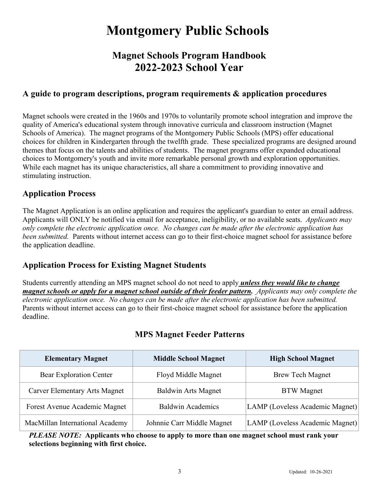## **Montgomery Public Schools**

## **Magnet Schools Program Handbook 2022-2023 School Year**

## **A guide to program descriptions, program requirements & application procedures**

Magnet schools were created in the 1960s and 1970s to voluntarily promote school integration and improve the quality of America's educational system through innovative curricula and classroom instruction (Magnet Schools of America). The magnet programs of the Montgomery Public Schools (MPS) offer educational choices for children in Kindergarten through the twelfth grade. These specialized programs are designed around themes that focus on the talents and abilities of students. The magnet programs offer expanded educational choices to Montgomery's youth and invite more remarkable personal growth and exploration opportunities. While each magnet has its unique characteristics, all share a commitment to providing innovative and stimulating instruction.

## **Application Process**

The Magnet Application is an online application and requires the applicant's guardian to enter an email address. Applicants will ONLY be notified via email for acceptance, ineligibility, or no available seats. *Applicants may only complete the electronic application once. No changes can be made after the electronic application has been submitted.* Parents without internet access can go to their first-choice magnet school for assistance before the application deadline.

## **Application Process for Existing Magnet Students**

Students currently attending an MPS magnet school do not need to apply *unless they would like to change magnet schools or apply for a magnet school outside of their feeder pattern. Applicants may only complete the electronic application once. No changes can be made after the electronic application has been submitted.* Parents without internet access can go to their first-choice magnet school for assistance before the application deadline.

| <b>Elementary Magnet</b>             | <b>Middle School Magnet</b> | <b>High School Magnet</b>       |
|--------------------------------------|-----------------------------|---------------------------------|
| <b>Bear Exploration Center</b>       | Floyd Middle Magnet         | <b>Brew Tech Magnet</b>         |
| <b>Carver Elementary Arts Magnet</b> | <b>Baldwin Arts Magnet</b>  | <b>BTW</b> Magnet               |
| Forest Avenue Academic Magnet        | <b>Baldwin Academics</b>    | LAMP (Loveless Academic Magnet) |
| MacMillan International Academy      | Johnnie Carr Middle Magnet  | LAMP (Loveless Academic Magnet) |

## **MPS Magnet Feeder Patterns**

*PLEASE NOTE:* **Applicants who choose to apply to more than one magnet school must rank your selections beginning with first choice.**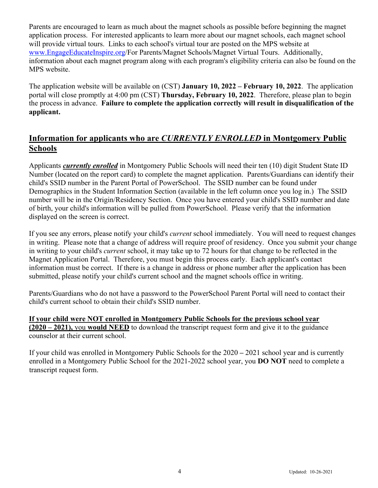Parents are encouraged to learn as much about the magnet schools as possible before beginning the magnet application process. For interested applicants to learn more about our magnet schools, each magnet school will provide virtual tours. Links to each school's virtual tour are posted on the MPS website at www.EngageEducateInspire.org/For Parents/Magnet Schools/Magnet Virtual Tours. Additionally, information about each magnet program along with each program's eligibility criteria can also be found on the MPS website.

The application website will be available on (CST) **January 10, 2022 – February 10, 2022**. The application portal will close promptly at 4:00 pm (CST) **Thursday, February 10, 2022**. Therefore, please plan to begin the process in advance. **Failure to complete the application correctly will result in disqualification of the applicant.** 

## **Information for applicants who are** *CURRENTLY ENROLLED* **in Montgomery Public Schools**

Applicants *currently enrolled* in Montgomery Public Schools will need their ten (10) digit Student State ID Number (located on the report card) to complete the magnet application. Parents/Guardians can identify their child's SSID number in the Parent Portal of PowerSchool. The SSID number can be found under Demographics in the Student Information Section (available in the left column once you log in.) The SSID number will be in the Origin/Residency Section. Once you have entered your child's SSID number and date of birth, your child's information will be pulled from PowerSchool. Please verify that the information displayed on the screen is correct.

If you see any errors, please notify your child's *current* school immediately. You will need to request changes in writing. Please note that a change of address will require proof of residency. Once you submit your change in writing to your child's *current* school, it may take up to 72 hours for that change to be reflected in the Magnet Application Portal. Therefore, you must begin this process early. Each applicant's contact information must be correct. If there is a change in address or phone number after the application has been submitted, please notify your child's current school and the magnet schools office in writing.

Parents/Guardians who do not have a password to the PowerSchool Parent Portal will need to contact their child's current school to obtain their child's SSID number.

**If your child were NOT enrolled in Montgomery Public Schools for the previous school year (2020 – 2021),** you **would NEED** to download the transcript request form and give it to the guidance counselor at their current school.

If your child was enrolled in Montgomery Public Schools for the 2020 **–** 2021 school year and is currently enrolled in a Montgomery Public School for the 2021-2022 school year, you **DO NOT** need to complete a transcript request form.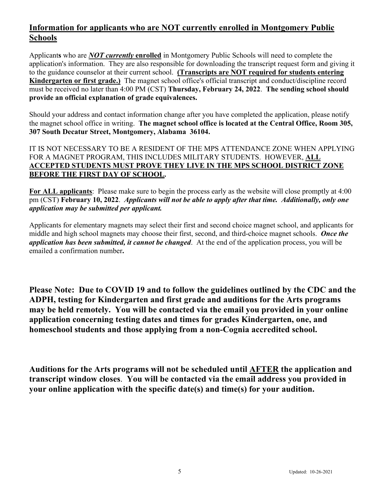## **Information for applicants who are NOT currently enrolled in Montgomery Public Schools**

Applicant**s** who are *NOT currently* **enrolled** in Montgomery Public Schools will need to complete the application's information. They are also responsible for downloading the transcript request form and giving it to the guidance counselor at their current school. **(Transcripts are NOT required for students entering Kindergarten or first grade.)** The magnet school office's official transcript and conduct/discipline record must be received no later than 4:00 PM (CST) **Thursday, February 24, 2022**. **The sending school should provide an official explanation of grade equivalences.** 

Should your address and contact information change after you have completed the application, please notify the magnet school office in writing. **The magnet school office is located at the Central Office, Room 305, 307 South Decatur Street, Montgomery, Alabama 36104.**

#### IT IS NOT NECESSARY TO BE A RESIDENT OF THE MPS ATTENDANCE ZONE WHEN APPLYING FOR A MAGNET PROGRAM, THIS INCLUDES MILITARY STUDENTS. HOWEVER, **ALL ACCEPTED STUDENTS MUST PROVE THEY LIVE IN THE MPS SCHOOL DISTRICT ZONE BEFORE THE FIRST DAY OF SCHOOL.**

**For ALL applicants**: Please make sure to begin the process early as the website will close promptly at 4:00 pm (CST) **February 10, 2022**. *Applicants will not be able to apply after that time. Additionally, only one application may be submitted per applicant.*

Applicants for elementary magnets may select their first and second choice magnet school, and applicants for middle and high school magnets may choose their first, second, and third-choice magnet schools. *Once the application has been submitted, it cannot be changed*. At the end of the application process, you will be emailed a confirmation number**.** 

**Please Note: Due to COVID 19 and to follow the guidelines outlined by the CDC and the ADPH, testing for Kindergarten and first grade and auditions for the Arts programs may be held remotely. You will be contacted via the email you provided in your online application concerning testing dates and times for grades Kindergarten, one, and homeschool students and those applying from a non-Cognia accredited school.**

**Auditions for the Arts programs will not be scheduled until AFTER the application and transcript window closes**. **You will be contacted via the email address you provided in your online application with the specific date(s) and time(s) for your audition.**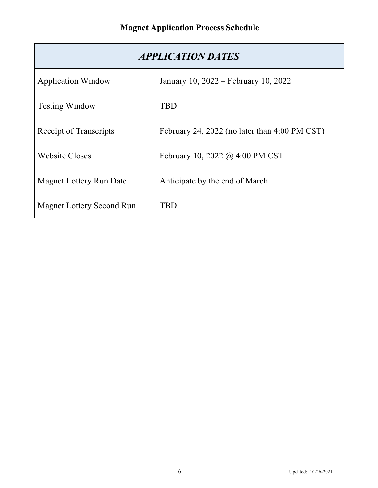| <b>APPLICATION DATES</b>         |                                               |  |
|----------------------------------|-----------------------------------------------|--|
| <b>Application Window</b>        | January 10, 2022 – February 10, 2022          |  |
| <b>Testing Window</b>            | TBD                                           |  |
| Receipt of Transcripts           | February 24, 2022 (no later than 4:00 PM CST) |  |
| <b>Website Closes</b>            | February 10, 2022 @ 4:00 PM CST               |  |
| <b>Magnet Lottery Run Date</b>   | Anticipate by the end of March                |  |
| <b>Magnet Lottery Second Run</b> | TBD                                           |  |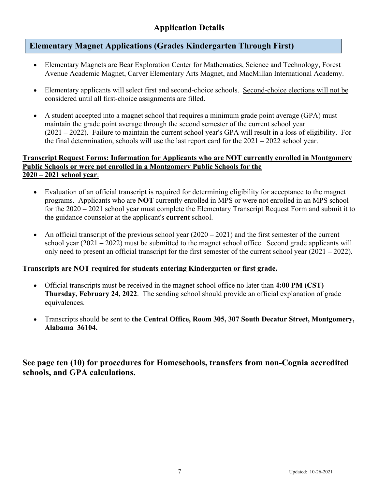## **Application Details**

## **Elementary Magnet Applications (Grades Kindergarten Through First)**

- Elementary Magnets are Bear Exploration Center for Mathematics, Science and Technology, Forest Avenue Academic Magnet, Carver Elementary Arts Magnet, and MacMillan International Academy.
- Elementary applicants will select first and second-choice schools. Second-choice elections will not be considered until all first-choice assignments are filled.
- A student accepted into a magnet school that requires a minimum grade point average (GPA) must maintain the grade point average through the second semester of the current school year (2021 **–** 2022). Failure to maintain the current school year's GPA will result in a loss of eligibility. For the final determination, schools will use the last report card for the 2021 **–** 2022 school year.

#### **Transcript Request Forms: Information for Applicants who are NOT currently enrolled in Montgomery Public Schools or were not enrolled in a Montgomery Public Schools for the 2020 – 2021 school year**:

- Evaluation of an official transcript is required for determining eligibility for acceptance to the magnet programs. Applicants who are **NOT** currently enrolled in MPS or were not enrolled in an MPS school for the 2020 **–** 2021 school year must complete the Elementary Transcript Request Form and submit it to the guidance counselor at the applicant's **current** school.
- An official transcript of the previous school year  $(2020 2021)$  and the first semester of the current school year (2021 **–** 2022) must be submitted to the magnet school office. Second grade applicants will only need to present an official transcript for the first semester of the current school year (2021 **–** 2022).

#### **Transcripts are NOT required for students entering Kindergarten or first grade.**

- Official transcripts must be received in the magnet school office no later than **4:00 PM (CST) Thursday, February 24, 2022**. The sending school should provide an official explanation of grade equivalences.
- Transcripts should be sent to **the Central Office, Room 305, 307 South Decatur Street, Montgomery, Alabama 36104.**

**See page ten (10) for procedures for Homeschools, transfers from non-Cognia accredited schools, and GPA calculations.**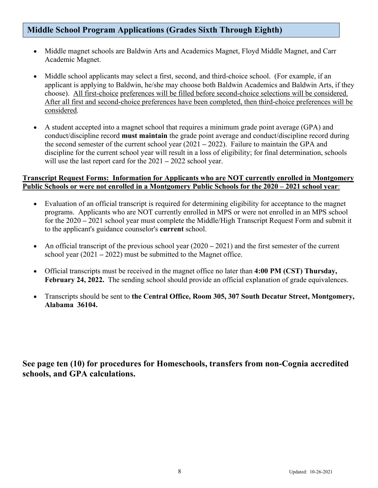## **Middle School Program Applications (Grades Sixth Through Eighth)**

- Middle magnet schools are Baldwin Arts and Academics Magnet, Floyd Middle Magnet, and Carr Academic Magnet.
- Middle school applicants may select a first, second, and third-choice school. (For example, if an applicant is applying to Baldwin, he/she may choose both Baldwin Academics and Baldwin Arts, if they choose). All first-choice preferences will be filled before second-choice selections will be considered. After all first and second-choice preferences have been completed, then third-choice preferences will be considered.
- A student accepted into a magnet school that requires a minimum grade point average (GPA) and conduct/discipline record **must maintain** the grade point average and conduct/discipline record during the second semester of the current school year (2021 **–** 2022). Failure to maintain the GPA and discipline for the current school year will result in a loss of eligibility; for final determination, schools will use the last report card for the 2021 **–** 2022 school year.

#### **Transcript Request Forms: Information for Applicants who are NOT currently enrolled in Montgomery Public Schools or were not enrolled in a Montgomery Public Schools for the 2020 – 2021 school year**:

- Evaluation of an official transcript is required for determining eligibility for acceptance to the magnet programs. Applicants who are NOT currently enrolled in MPS or were not enrolled in an MPS school for the 2020 **–** 2021 school year must complete the Middle/High Transcript Request Form and submit it to the applicant's guidance counselor's **current** school.
- An official transcript of the previous school year (2020 2021) and the first semester of the current school year (2021 **–** 2022) must be submitted to the Magnet office.
- Official transcripts must be received in the magnet office no later than **4:00 PM (CST) Thursday, February 24, 2022.** The sending school should provide an official explanation of grade equivalences.
- Transcripts should be sent to **the Central Office, Room 305, 307 South Decatur Street, Montgomery, Alabama 36104.**

**See page ten (10) for procedures for Homeschools, transfers from non-Cognia accredited schools, and GPA calculations.**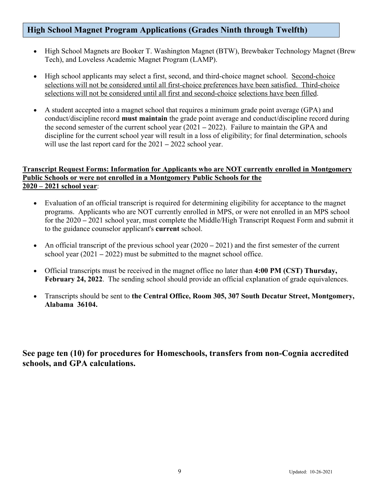## **High School Magnet Program Applications (Grades Ninth through Twelfth)**

- High School Magnets are Booker T. Washington Magnet (BTW), Brewbaker Technology Magnet (Brew Tech), and Loveless Academic Magnet Program (LAMP).
- High school applicants may select a first, second, and third-choice magnet school. Second-choice selections will not be considered until all first-choice preferences have been satisfied. Third-choice selections will not be considered until all first and second-choice selections have been filled.
- A student accepted into a magnet school that requires a minimum grade point average (GPA) and conduct/discipline record **must maintain** the grade point average and conduct/discipline record during the second semester of the current school year (2021 **–** 2022). Failure to maintain the GPA and discipline for the current school year will result in a loss of eligibility; for final determination, schools will use the last report card for the 2021 **–** 2022 school year.

#### **Transcript Request Forms: Information for Applicants who are NOT currently enrolled in Montgomery Public Schools or were not enrolled in a Montgomery Public Schools for the 2020 – 2021 school year**:

- Evaluation of an official transcript is required for determining eligibility for acceptance to the magnet programs. Applicants who are NOT currently enrolled in MPS, or were not enrolled in an MPS school for the 2020 **–** 2021 school year, must complete the Middle/High Transcript Request Form and submit it to the guidance counselor applicant's **current** school.
- An official transcript of the previous school year (2020 2021) and the first semester of the current school year (2021 **–** 2022) must be submitted to the magnet school office.
- Official transcripts must be received in the magnet office no later than **4:00 PM (CST) Thursday, February 24, 2022**. The sending school should provide an official explanation of grade equivalences.
- Transcripts should be sent to **the Central Office, Room 305, 307 South Decatur Street, Montgomery, Alabama 36104.**

**See page ten (10) for procedures for Homeschools, transfers from non-Cognia accredited schools, and GPA calculations.**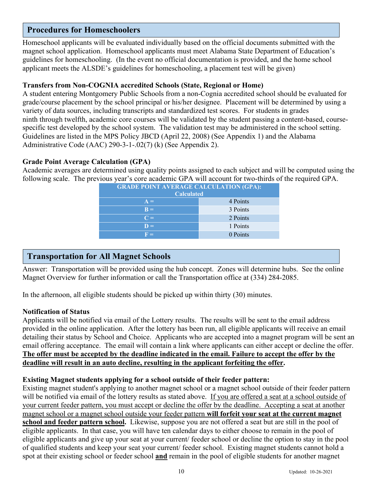## **Procedures for Homeschoolers**

Homeschool applicants will be evaluated individually based on the official documents submitted with the magnet school application. Homeschool applicants must meet Alabama State Department of Education's guidelines for homeschooling. (In the event no official documentation is provided, and the home school applicant meets the ALSDE's guidelines for homeschooling, a placement test will be given)

#### **Transfers from Non-COGNIA accredited Schools (State, Regional or Home)**

A student entering Montgomery Public Schools from a non-Cognia accredited school should be evaluated for grade/course placement by the school principal or his/her designee. Placement will be determined by using a variety of data sources, including transcripts and standardized test scores. For students in grades ninth through twelfth, academic core courses will be validated by the student passing a content-based, coursespecific test developed by the school system. The validation test may be administered in the school setting. Guidelines are listed in the MPS Policy JBCD (April 22, 2008) (See Appendix 1) and the Alabama Administrative Code (AAC) 290-3-1-.02(7) (k) (See Appendix 2).

#### **Grade Point Average Calculation (GPA)**

Academic averages are determined using quality points assigned to each subject and will be computed using the following scale. The previous year's core academic GPA will account for two-thirds of the required GPA.

## **Transportation for All Magnet Schools**

Answer: Transportation will be provided using the hub concept. Zones will determine hubs. See the online Magnet Overview for further information or call the Transportation office at (334) 284-2085.

In the afternoon, all eligible students should be picked up within thirty (30) minutes.

#### **Notification of Status**

Applicants will be notified via email of the Lottery results. The results will be sent to the email address provided in the online application. After the lottery has been run, all eligible applicants will receive an email detailing their status by School and Choice. Applicants who are accepted into a magnet program will be sent an email offering acceptance. The email will contain a link where applicants can either accept or decline the offer. **The offer must be accepted by the deadline indicated in the email. Failure to accept the offer by the deadline will result in an auto decline, resulting in the applicant forfeiting the offer.**

#### **Existing Magnet students applying for a school outside of their feeder pattern:**

Existing magnet student's applying to another magnet school or a magnet school outside of their feeder pattern will be notified via email of the lottery results as stated above. If you are offered a seat at a school outside of your current feeder pattern, you must accept or decline the offer by the deadline. Accepting a seat at another magnet school or a magnet school outside your feeder pattern **will forfeit your seat at the current magnet school and feeder pattern school.** Likewise, suppose you are not offered a seat but are still in the pool of eligible applicants. In that case, you will have ten calendar days to either choose to remain in the pool of eligible applicants and give up your seat at your current/ feeder school or decline the option to stay in the pool of qualified students and keep your seat your current/ feeder school. Existing magnet students cannot hold a spot at their existing school or feeder school **and** remain in the pool of eligible students for another magnet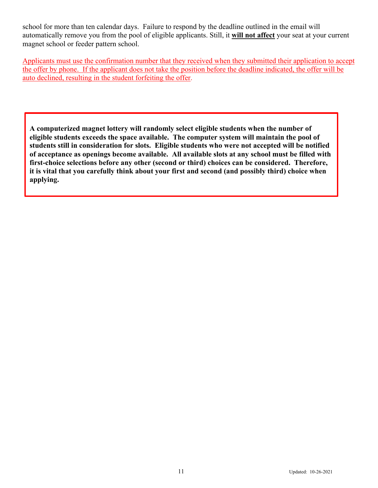school for more than ten calendar days. Failure to respond by the deadline outlined in the email will automatically remove you from the pool of eligible applicants. Still, it **will not affect** your seat at your current magnet school or feeder pattern school.

Applicants must use the confirmation number that they received when they submitted their application to accept the offer by phone. If the applicant does not take the position before the deadline indicated, the offer will be auto declined, resulting in the student forfeiting the offer.

**A computerized magnet lottery will randomly select eligible students when the number of eligible students exceeds the space available. The computer system will maintain the pool of students still in consideration for slots. Eligible students who were not accepted will be notified of acceptance as openings become available. All available slots at any school must be filled with first-choice selections before any other (second or third) choices can be considered. Therefore, it is vital that you carefully think about your first and second (and possibly third) choice when applying.**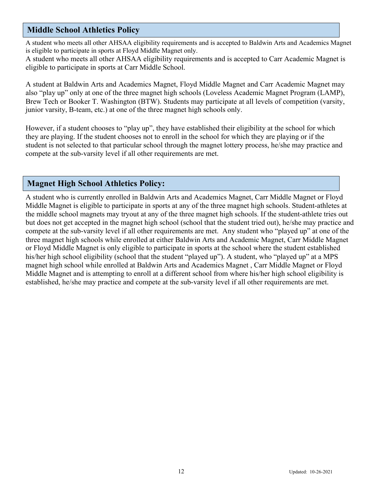## **Middle School Athletics Policy**

A student who meets all other AHSAA eligibility requirements and is accepted to Baldwin Arts and Academics Magnet is eligible to participate in sports at Floyd Middle Magnet only.

A student who meets all other AHSAA eligibility requirements and is accepted to Carr Academic Magnet is eligible to participate in sports at Carr Middle School.

A student at Baldwin Arts and Academics Magnet, Floyd Middle Magnet and Carr Academic Magnet may also "play up" only at one of the three magnet high schools (Loveless Academic Magnet Program (LAMP), Brew Tech or Booker T. Washington (BTW). Students may participate at all levels of competition (varsity, junior varsity, B-team, etc.) at one of the three magnet high schools only.

However, if a student chooses to "play up", they have established their eligibility at the school for which they are playing. If the student chooses not to enroll in the school for which they are playing or if the student is not selected to that particular school through the magnet lottery process, he/she may practice and compete at the sub-varsity level if all other requirements are met.

## **Magnet High School Athletics Policy:**

A student who is currently enrolled in Baldwin Arts and Academics Magnet, Carr Middle Magnet or Floyd Middle Magnet is eligible to participate in sports at any of the three magnet high schools. Student-athletes at the middle school magnets may tryout at any of the three magnet high schools. If the student-athlete tries out but does not get accepted in the magnet high school (school that the student tried out), he/she may practice and compete at the sub-varsity level if all other requirements are met. Any student who "played up" at one of the three magnet high schools while enrolled at either Baldwin Arts and Academic Magnet, Carr Middle Magnet or Floyd Middle Magnet is only eligible to participate in sports at the school where the student established his/her high school eligibility (school that the student "played up"). A student, who "played up" at a MPS magnet high school while enrolled at Baldwin Arts and Academics Magnet , Carr Middle Magnet or Floyd Middle Magnet and is attempting to enroll at a different school from where his/her high school eligibility is established, he/she may practice and compete at the sub-varsity level if all other requirements are met.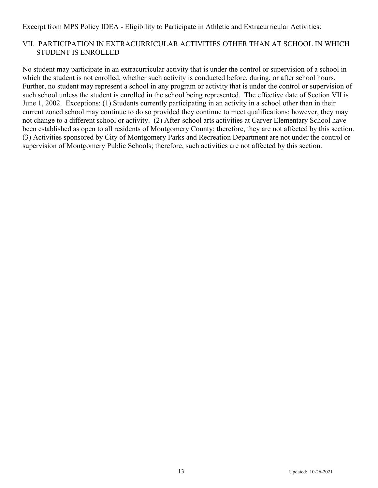Excerpt from MPS Policy IDEA - Eligibility to Participate in Athletic and Extracurricular Activities:

#### VII. PARTICIPATION IN EXTRACURRICULAR ACTIVITIES OTHER THAN AT SCHOOL IN WHICH STUDENT IS ENROLLED

No student may participate in an extracurricular activity that is under the control or supervision of a school in which the student is not enrolled, whether such activity is conducted before, during, or after school hours. Further, no student may represent a school in any program or activity that is under the control or supervision of such school unless the student is enrolled in the school being represented. The effective date of Section VII is June 1, 2002. Exceptions: (1) Students currently participating in an activity in a school other than in their current zoned school may continue to do so provided they continue to meet qualifications; however, they may not change to a different school or activity. (2) After-school arts activities at Carver Elementary School have been established as open to all residents of Montgomery County; therefore, they are not affected by this section. (3) Activities sponsored by City of Montgomery Parks and Recreation Department are not under the control or supervision of Montgomery Public Schools; therefore, such activities are not affected by this section.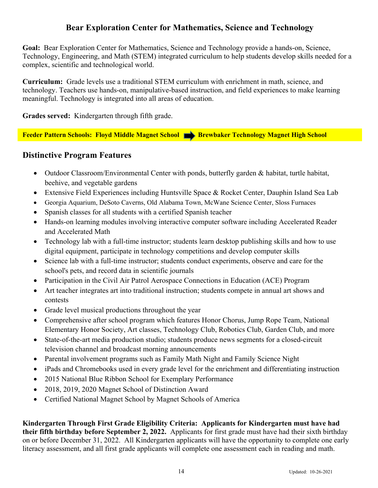## **Bear Exploration Center for Mathematics, Science and Technology**

**Goal:** Bear Exploration Center for Mathematics, Science and Technology provide a hands-on, Science, Technology, Engineering, and Math (STEM) integrated curriculum to help students develop skills needed for a complex, scientific and technological world.

**Curriculum:** Grade levels use a traditional STEM curriculum with enrichment in math, science, and technology. Teachers use hands-on, manipulative-based instruction, and field experiences to make learning meaningful. Technology is integrated into all areas of education.

**Grades served:** Kindergarten through fifth grade.

**Feeder Pattern Schools: Floyd Middle Magnet School Brewbaker Technology Magnet High School** 

## **Distinctive Program Features**

- Outdoor Classroom/Environmental Center with ponds, butterfly garden & habitat, turtle habitat, beehive, and vegetable gardens
- Extensive Field Experiences including Huntsville Space & Rocket Center, Dauphin Island Sea Lab
- Georgia Aquarium, DeSoto Caverns, Old Alabama Town, McWane Science Center, Sloss Furnaces
- Spanish classes for all students with a certified Spanish teacher
- Hands-on learning modules involving interactive computer software including Accelerated Reader and Accelerated Math
- Technology lab with a full-time instructor; students learn desktop publishing skills and how to use digital equipment, participate in technology competitions and develop computer skills
- Science lab with a full-time instructor; students conduct experiments, observe and care for the school's pets, and record data in scientific journals
- Participation in the Civil Air Patrol Aerospace Connections in Education (ACE) Program
- Art teacher integrates art into traditional instruction; students compete in annual art shows and contests
- Grade level musical productions throughout the year
- Comprehensive after school program which features Honor Chorus, Jump Rope Team, National Elementary Honor Society, Art classes, Technology Club, Robotics Club, Garden Club, and more
- State-of-the-art media production studio; students produce news segments for a closed-circuit television channel and broadcast morning announcements
- Parental involvement programs such as Family Math Night and Family Science Night
- iPads and Chromebooks used in every grade level for the enrichment and differentiating instruction
- 2015 National Blue Ribbon School for Exemplary Performance
- 2018, 2019, 2020 Magnet School of Distinction Award
- Certified National Magnet School by Magnet Schools of America

**Kindergarten Through First Grade Eligibility Criteria: Applicants for Kindergarten must have had their fifth birthday before September 2, 2022.** Applicants for first grade must have had their sixth birthday on or before December 31, 2022. All Kindergarten applicants will have the opportunity to complete one early literacy assessment, and all first grade applicants will complete one assessment each in reading and math.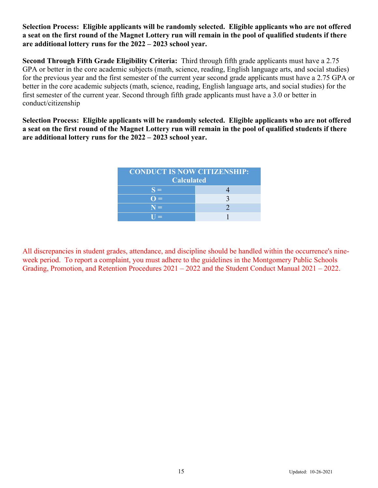#### **Selection Process: Eligible applicants will be randomly selected. Eligible applicants who are not offered a seat on the first round of the Magnet Lottery run will remain in the pool of qualified students if there are additional lottery runs for the 2022 – 2023 school year.**

**Second Through Fifth Grade Eligibility Criteria:** Third through fifth grade applicants must have a 2.75 GPA or better in the core academic subjects (math, science, reading, English language arts, and social studies) for the previous year and the first semester of the current year second grade applicants must have a 2.75 GPA or better in the core academic subjects (math, science, reading, English language arts, and social studies) for the first semester of the current year. Second through fifth grade applicants must have a 3.0 or better in conduct/citizenship

**Selection Process: Eligible applicants will be randomly selected. Eligible applicants who are not offered a seat on the first round of the Magnet Lottery run will remain in the pool of qualified students if there are additional lottery runs for the 2022 – 2023 school year.** 

| <b>CONDUCT IS NOW CITIZENSHIP:</b><br><b>Calculated</b> |  |
|---------------------------------------------------------|--|
| $S =$                                                   |  |
| $\equiv$                                                |  |
| $N =$                                                   |  |
| r and                                                   |  |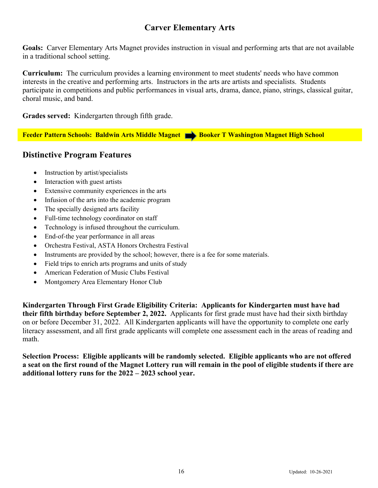## **Carver Elementary Arts**

**Goals:** Carver Elementary Arts Magnet provides instruction in visual and performing arts that are not available in a traditional school setting.

**Curriculum:** The curriculum provides a learning environment to meet students' needs who have common interests in the creative and performing arts. Instructors in the arts are artists and specialists. Students participate in competitions and public performances in visual arts, drama, dance, piano, strings, classical guitar, choral music, and band.

**Grades served:** Kindergarten through fifth grade.

**Feeder Pattern Schools: Baldwin Arts Middle Magnet Booker T Washington Magnet High School** 

## **Distinctive Program Features**

- Instruction by artist/specialists
- Interaction with guest artists
- Extensive community experiences in the arts
- Infusion of the arts into the academic program
- The specially designed arts facility
- Full-time technology coordinator on staff
- Technology is infused throughout the curriculum.
- End-of-the year performance in all areas
- Orchestra Festival, ASTA Honors Orchestra Festival
- Instruments are provided by the school; however, there is a fee for some materials.
- Field trips to enrich arts programs and units of study
- American Federation of Music Clubs Festival
- Montgomery Area Elementary Honor Club

**Kindergarten Through First Grade Eligibility Criteria: Applicants for Kindergarten must have had their fifth birthday before September 2, 2022.** Applicants for first grade must have had their sixth birthday on or before December 31, 2022. All Kindergarten applicants will have the opportunity to complete one early literacy assessment, and all first grade applicants will complete one assessment each in the areas of reading and math.

**Selection Process: Eligible applicants will be randomly selected. Eligible applicants who are not offered a seat on the first round of the Magnet Lottery run will remain in the pool of eligible students if there are additional lottery runs for the 2022 – 2023 school year.**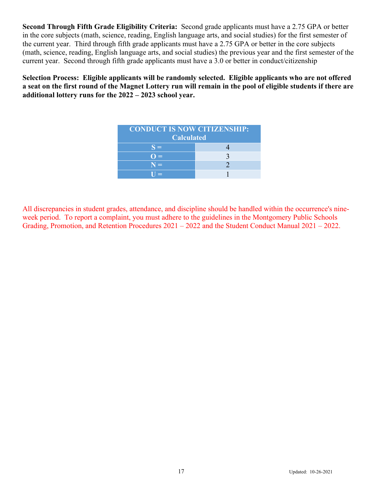**Second Through Fifth Grade Eligibility Criteria:** Second grade applicants must have a 2.75 GPA or better in the core subjects (math, science, reading, English language arts, and social studies) for the first semester of the current year. Third through fifth grade applicants must have a 2.75 GPA or better in the core subjects (math, science, reading, English language arts, and social studies) the previous year and the first semester of the current year. Second through fifth grade applicants must have a 3.0 or better in conduct/citizenship

**Selection Process: Eligible applicants will be randomly selected. Eligible applicants who are not offered a seat on the first round of the Magnet Lottery run will remain in the pool of eligible students if there are additional lottery runs for the 2022 – 2023 school year.** 

| <b>CONDUCT IS NOW CITIZENSHIP:</b><br><b>Calculated</b> |  |
|---------------------------------------------------------|--|
| $S =$                                                   |  |
| $\Omega =$                                              |  |
| $N =$                                                   |  |
| $\Pi =$                                                 |  |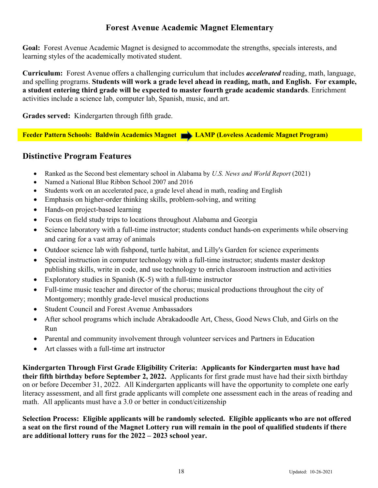## **Forest Avenue Academic Magnet Elementary**

**Goal:** Forest Avenue Academic Magnet is designed to accommodate the strengths, specials interests, and learning styles of the academically motivated student.

**Curriculum:** Forest Avenue offers a challenging curriculum that includes *accelerated* reading, math, language, and spelling programs. **Students will work a grade level ahead in reading, math, and English. For example, a student entering third grade will be expected to master fourth grade academic standards**. Enrichment activities include a science lab, computer lab, Spanish, music, and art.

**Grades served:** Kindergarten through fifth grade.

**Feeder Pattern Schools: Baldwin Academics Magnet <b>New York Collection** Academic Magnet Program)

## **Distinctive Program Features**

- Ranked as the Second best elementary school in Alabama by *U.S. News and World Report* (2021)
- Named a National Blue Ribbon School 2007 and 2016
- Students work on an accelerated pace, a grade level ahead in math, reading and English
- Emphasis on higher-order thinking skills, problem-solving, and writing
- Hands-on project-based learning
- Focus on field study trips to locations throughout Alabama and Georgia
- Science laboratory with a full-time instructor; students conduct hands-on experiments while observing and caring for a vast array of animals
- Outdoor science lab with fishpond, turtle habitat, and Lilly's Garden for science experiments
- Special instruction in computer technology with a full-time instructor; students master desktop publishing skills, write in code, and use technology to enrich classroom instruction and activities
- Exploratory studies in Spanish  $(K-5)$  with a full-time instructor
- Full-time music teacher and director of the chorus; musical productions throughout the city of Montgomery; monthly grade-level musical productions
- Student Council and Forest Avenue Ambassadors
- After school programs which include Abrakadoodle Art, Chess, Good News Club, and Girls on the Run
- Parental and community involvement through volunteer services and Partners in Education
- Art classes with a full-time art instructor

**Kindergarten Through First Grade Eligibility Criteria: Applicants for Kindergarten must have had their fifth birthday before September 2, 2022.** Applicants for first grade must have had their sixth birthday on or before December 31, 2022. All Kindergarten applicants will have the opportunity to complete one early literacy assessment, and all first grade applicants will complete one assessment each in the areas of reading and math. All applicants must have a 3.0 or better in conduct/citizenship

**Selection Process: Eligible applicants will be randomly selected. Eligible applicants who are not offered a seat on the first round of the Magnet Lottery run will remain in the pool of qualified students if there are additional lottery runs for the 2022 – 2023 school year.**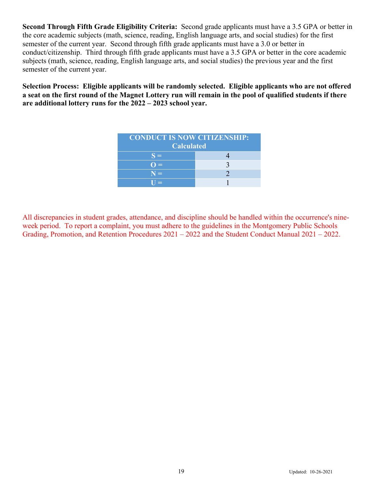**Second Through Fifth Grade Eligibility Criteria:** Second grade applicants must have a 3.5 GPA or better in the core academic subjects (math, science, reading, English language arts, and social studies) for the first semester of the current year. Second through fifth grade applicants must have a 3.0 or better in conduct/citizenship. Third through fifth grade applicants must have a 3.5 GPA or better in the core academic subjects (math, science, reading, English language arts, and social studies) the previous year and the first semester of the current year.

**Selection Process: Eligible applicants will be randomly selected. Eligible applicants who are not offered a seat on the first round of the Magnet Lottery run will remain in the pool of qualified students if there are additional lottery runs for the 2022 – 2023 school year.** 

| <b>CONDUCT IS NOW CITIZENSHIP:</b><br><b>Calculated</b> |  |
|---------------------------------------------------------|--|
| $S =$                                                   |  |
| $=$                                                     |  |
| $N =$                                                   |  |
| $\sim$                                                  |  |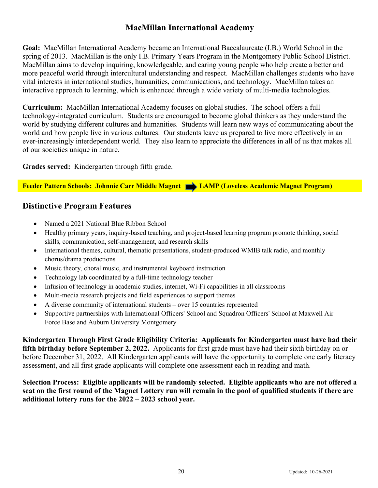## **MacMillan International Academy**

**Goal:** MacMillan International Academy became an International Baccalaureate (I.B.) World School in the spring of 2013. MacMillan is the only I.B. Primary Years Program in the Montgomery Public School District. MacMillan aims to develop inquiring, knowledgeable, and caring young people who help create a better and more peaceful world through intercultural understanding and respect. MacMillan challenges students who have vital interests in international studies, humanities, communications, and technology. MacMillan takes an interactive approach to learning, which is enhanced through a wide variety of multi-media technologies.

**Curriculum:** MacMillan International Academy focuses on global studies. The school offers a full technology-integrated curriculum. Students are encouraged to become global thinkers as they understand the world by studying different cultures and humanities. Students will learn new ways of communicating about the world and how people live in various cultures. Our students leave us prepared to live more effectively in an ever-increasingly interdependent world. They also learn to appreciate the differences in all of us that makes all of our societies unique in nature.

**Grades served:** Kindergarten through fifth grade.

**Feeder Pattern Schools: Johnnie Carr Middle Magnet | LAMP (Loveless Academic Magnet Program)** 

## **Distinctive Program Features**

- Named a 2021 National Blue Ribbon School
- Healthy primary years, inquiry-based teaching, and project-based learning program promote thinking, social skills, communication, self-management, and research skills
- International themes, cultural, thematic presentations, student-produced WMIB talk radio, and monthly chorus/drama productions
- Music theory, choral music, and instrumental keyboard instruction
- Technology lab coordinated by a full-time technology teacher
- Infusion of technology in academic studies, internet, Wi-Fi capabilities in all classrooms
- Multi-media research projects and field experiences to support themes
- A diverse community of international students over 15 countries represented
- Supportive partnerships with International Officers' School and Squadron Officers' School at Maxwell Air Force Base and Auburn University Montgomery

**Kindergarten Through First Grade Eligibility Criteria: Applicants for Kindergarten must have had their fifth birthday before September 2, 2022.** Applicants for first grade must have had their sixth birthday on or before December 31, 2022. All Kindergarten applicants will have the opportunity to complete one early literacy assessment, and all first grade applicants will complete one assessment each in reading and math.

**Selection Process: Eligible applicants will be randomly selected. Eligible applicants who are not offered a seat on the first round of the Magnet Lottery run will remain in the pool of qualified students if there are additional lottery runs for the 2022 – 2023 school year.**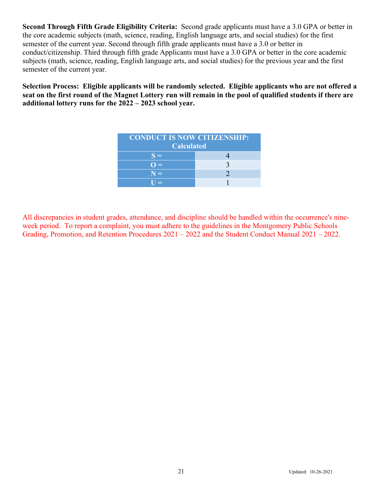**Second Through Fifth Grade Eligibility Criteria:** Second grade applicants must have a 3.0 GPA or better in the core academic subjects (math, science, reading, English language arts, and social studies) for the first semester of the current year. Second through fifth grade applicants must have a 3.0 or better in conduct/citizenship. Third through fifth grade Applicants must have a 3.0 GPA or better in the core academic subjects (math, science, reading, English language arts, and social studies) for the previous year and the first semester of the current year.

**Selection Process: Eligible applicants will be randomly selected. Eligible applicants who are not offered a seat on the first round of the Magnet Lottery run will remain in the pool of qualified students if there are additional lottery runs for the 2022 – 2023 school year.**

| <b>CONDUCT IS NOW CITIZENSHIP:</b><br><b>Calculated</b> |  |
|---------------------------------------------------------|--|
| $S =$                                                   |  |
| $=$                                                     |  |
| $N =$                                                   |  |
| $\equiv$                                                |  |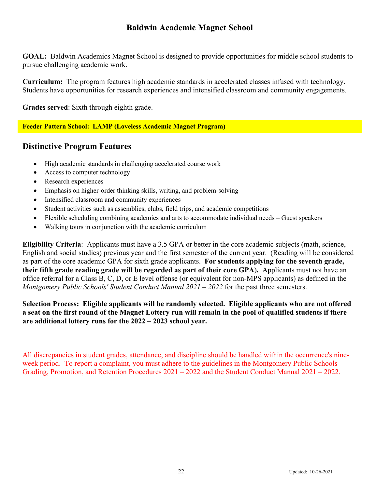## **Baldwin Academic Magnet School**

**GOAL:** Baldwin Academics Magnet School is designed to provide opportunities for middle school students to pursue challenging academic work.

**Curriculum:** The program features high academic standards in accelerated classes infused with technology. Students have opportunities for research experiences and intensified classroom and community engagements.

**Grades served**: Sixth through eighth grade.

#### **Feeder Pattern School: LAMP (Loveless Academic Magnet Program)**

## **Distinctive Program Features**

- High academic standards in challenging accelerated course work
- Access to computer technology
- Research experiences
- Emphasis on higher-order thinking skills, writing, and problem-solving
- Intensified classroom and community experiences
- Student activities such as assemblies, clubs, field trips, and academic competitions
- Flexible scheduling combining academics and arts to accommodate individual needs Guest speakers
- Walking tours in conjunction with the academic curriculum

**Eligibility Criteria**: Applicants must have a 3.5 GPA or better in the core academic subjects (math, science, English and social studies) previous year and the first semester of the current year. (Reading will be considered as part of the core academic GPA for sixth grade applicants. **For students applying for the seventh grade, their fifth grade reading grade will be regarded as part of their core GPA**)**.** Applicants must not have an office referral for a Class B, C, D, or E level offense (or equivalent for non-MPS applicants) as defined in the *Montgomery Public Schools' Student Conduct Manual 2021 – 2022* for the past three semesters.

**Selection Process: Eligible applicants will be randomly selected. Eligible applicants who are not offered a seat on the first round of the Magnet Lottery run will remain in the pool of qualified students if there are additional lottery runs for the 2022 – 2023 school year.**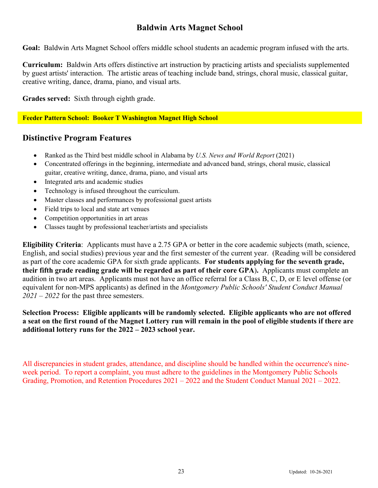## **Baldwin Arts Magnet School**

**Goal:** Baldwin Arts Magnet School offers middle school students an academic program infused with the arts.

**Curriculum:** Baldwin Arts offers distinctive art instruction by practicing artists and specialists supplemented by guest artists' interaction. The artistic areas of teaching include band, strings, choral music, classical guitar, creative writing, dance, drama, piano, and visual arts.

**Grades served:** Sixth through eighth grade.

**Feeder Pattern School: Booker T Washington Magnet High School**

#### **Distinctive Program Features**

- Ranked as the Third best middle school in Alabama by *U.S. News and World Report* (2021)
- Concentrated offerings in the beginning, intermediate and advanced band, strings, choral music, classical guitar, creative writing, dance, drama, piano, and visual arts
- Integrated arts and academic studies
- Technology is infused throughout the curriculum.
- Master classes and performances by professional guest artists
- Field trips to local and state art venues
- Competition opportunities in art areas
- Classes taught by professional teacher/artists and specialists

**Eligibility Criteria**: Applicants must have a 2.75 GPA or better in the core academic subjects (math, science, English, and social studies) previous year and the first semester of the current year. (Reading will be considered as part of the core academic GPA for sixth grade applicants. **For students applying for the seventh grade, their fifth grade reading grade will be regarded as part of their core GPA**)**.** Applicants must complete an audition in two art areas. Applicants must not have an office referral for a Class B, C, D, or E level offense (or equivalent for non-MPS applicants) as defined in the *Montgomery Public Schools' Student Conduct Manual 2021 – 2022* for the past three semesters.

**Selection Process: Eligible applicants will be randomly selected. Eligible applicants who are not offered a seat on the first round of the Magnet Lottery run will remain in the pool of eligible students if there are additional lottery runs for the 2022 – 2023 school year.**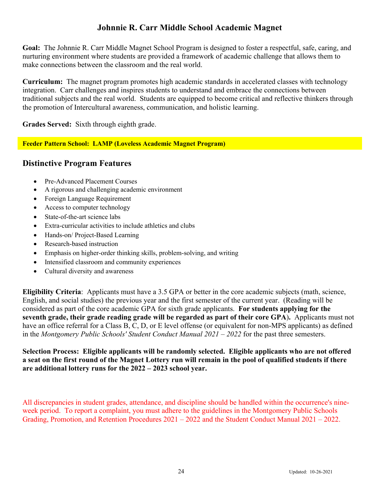## **Johnnie R. Carr Middle School Academic Magnet**

**Goal:** The Johnnie R. Carr Middle Magnet School Program is designed to foster a respectful, safe, caring, and nurturing environment where students are provided a framework of academic challenge that allows them to make connections between the classroom and the real world.

**Curriculum:** The magnet program promotes high academic standards in accelerated classes with technology integration. Carr challenges and inspires students to understand and embrace the connections between traditional subjects and the real world. Students are equipped to become critical and reflective thinkers through the promotion of Intercultural awareness, communication, and holistic learning.

**Grades Served:** Sixth through eighth grade.

#### **Feeder Pattern School: LAMP (Loveless Academic Magnet Program)**

## **Distinctive Program Features**

- Pre-Advanced Placement Courses
- A rigorous and challenging academic environment
- Foreign Language Requirement
- Access to computer technology
- State-of-the-art science labs
- Extra-curricular activities to include athletics and clubs
- Hands-on/ Project-Based Learning
- Research-based instruction
- Emphasis on higher-order thinking skills, problem-solving, and writing
- Intensified classroom and community experiences
- Cultural diversity and awareness

**Eligibility Criteria**: Applicants must have a 3.5 GPA or better in the core academic subjects (math, science, English, and social studies) the previous year and the first semester of the current year. (Reading will be considered as part of the core academic GPA for sixth grade applicants. **For students applying for the seventh grade, their grade reading grade will be regarded as part of their core GPA**)**.** Applicants must not have an office referral for a Class B, C, D, or E level offense (or equivalent for non-MPS applicants) as defined in the *Montgomery Public Schools' Student Conduct Manual 2021 – 2022* for the past three semesters.

**Selection Process: Eligible applicants will be randomly selected. Eligible applicants who are not offered a seat on the first round of the Magnet Lottery run will remain in the pool of qualified students if there are additional lottery runs for the 2022 – 2023 school year.**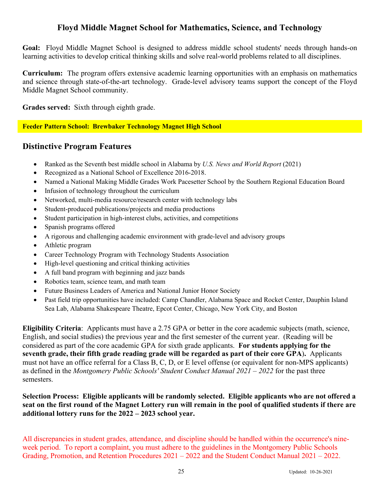## **Floyd Middle Magnet School for Mathematics, Science, and Technology**

**Goal:** Floyd Middle Magnet School is designed to address middle school students' needs through hands-on learning activities to develop critical thinking skills and solve real-world problems related to all disciplines.

**Curriculum:** The program offers extensive academic learning opportunities with an emphasis on mathematics and science through state-of-the-art technology. Grade-level advisory teams support the concept of the Floyd Middle Magnet School community.

**Grades served:** Sixth through eighth grade.

**Feeder Pattern School: Brewbaker Technology Magnet High School**

#### **Distinctive Program Features**

- Ranked as the Seventh best middle school in Alabama by *U.S. News and World Report* (2021)
- Recognized as a National School of Excellence 2016-2018.
- Named a National Making Middle Grades Work Pacesetter School by the Southern Regional Education Board
- Infusion of technology throughout the curriculum
- Networked, multi-media resource/research center with technology labs
- Student-produced publications/projects and media productions
- Student participation in high-interest clubs, activities, and competitions
- Spanish programs offered
- A rigorous and challenging academic environment with grade-level and advisory groups
- Athletic program
- Career Technology Program with Technology Students Association
- High-level questioning and critical thinking activities
- A full band program with beginning and jazz bands
- Robotics team, science team, and math team
- Future Business Leaders of America and National Junior Honor Society
- Past field trip opportunities have included: Camp Chandler, Alabama Space and Rocket Center, Dauphin Island Sea Lab, Alabama Shakespeare Theatre, Epcot Center, Chicago, New York City, and Boston

**Eligibility Criteria**: Applicants must have a 2.75 GPA or better in the core academic subjects (math, science, English, and social studies) the previous year and the first semester of the current year. (Reading will be considered as part of the core academic GPA for sixth grade applicants. **For students applying for the seventh grade, their fifth grade reading grade will be regarded as part of their core GPA**)**.** Applicants must not have an office referral for a Class B, C, D, or E level offense (or equivalent for non-MPS applicants) as defined in the *Montgomery Public Schools' Student Conduct Manual 2021 – 2022* for the past three semesters.

**Selection Process: Eligible applicants will be randomly selected. Eligible applicants who are not offered a seat on the first round of the Magnet Lottery run will remain in the pool of qualified students if there are additional lottery runs for the 2022 – 2023 school year.**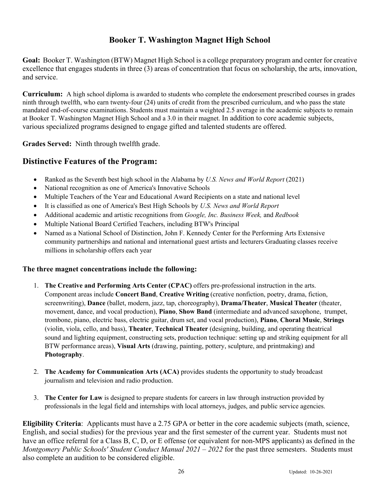## **Booker T. Washington Magnet High School**

**Goal:** Booker T. Washington (BTW) Magnet High School is a college preparatory program and center for creative excellence that engages students in three (3) areas of concentration that focus on scholarship, the arts, innovation, and service.

**Curriculum:** A high school diploma is awarded to students who complete the endorsement prescribed courses in grades ninth through twelfth, who earn twenty-four (24) units of credit from the prescribed curriculum, and who pass the state mandated end-of-course examinations. Students must maintain a weighted 2.5 average in the academic subjects to remain at Booker T. Washington Magnet High School and a 3.0 in their magnet. In addition to core academic subjects, various specialized programs designed to engage gifted and talented students are offered.

**Grades Served:** Ninth through twelfth grade.

## **Distinctive Features of the Program:**

- Ranked as the Seventh best high school in the Alabama by *U.S. News and World Report* (2021)
- National recognition as one of America's Innovative Schools
- Multiple Teachers of the Year and Educational Award Recipients on a state and national level
- It is classified as one of America's Best High Schools by *U.S. News and World Report*
- Additional academic and artistic recognitions from *Google, Inc. Business Week,* and *Redbook*
- Multiple National Board Certified Teachers, including BTW's Principal
- Named as a National School of Distinction, John F. Kennedy Center for the Performing Arts Extensive community partnerships and national and international guest artists and lecturers Graduating classes receive millions in scholarship offers each year

#### **The three magnet concentrations include the following:**

- 1. **The Creative and Performing Arts Center (CPAC)** offers pre-professional instruction in the arts. Component areas include **Concert Band**, **Creative Writing** (creative nonfiction, poetry, drama, fiction, screenwriting), **Dance** (ballet, modern, jazz, tap, choreography), **Drama/Theater**, **Musical Theater** (theater, movement, dance, and vocal production), **Piano**, **Show Band** (intermediate and advanced saxophone, trumpet, trombone, piano, electric bass, electric guitar, drum set, and vocal production), **Piano**, **Choral Music**, **Strings**  (violin, viola, cello, and bass), **Theater**, **Technical Theater** (designing, building, and operating theatrical sound and lighting equipment, constructing sets, production technique: setting up and striking equipment for all BTW performance areas), **Visual Arts** (drawing, painting, pottery, sculpture, and printmaking) and **Photography**.
- 2. **The Academy for Communication Arts (ACA)** provides students the opportunity to study broadcast journalism and television and radio production.
- 3. **The Center for Law** is designed to prepare students for careers in law through instruction provided by professionals in the legal field and internships with local attorneys, judges, and public service agencies.

**Eligibility Criteria**: Applicants must have a 2.75 GPA or better in the core academic subjects (math, science, English, and social studies) for the previous year and the first semester of the current year. Students must not have an office referral for a Class B, C, D, or E offense (or equivalent for non-MPS applicants) as defined in the *Montgomery Public Schools' Student Conduct Manual 2021 – 2022* for the past three semesters. Students must also complete an audition to be considered eligible.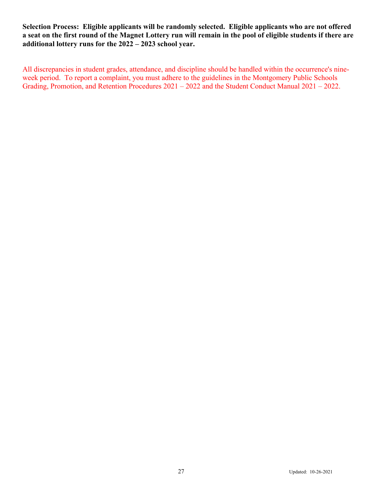**Selection Process: Eligible applicants will be randomly selected. Eligible applicants who are not offered a seat on the first round of the Magnet Lottery run will remain in the pool of eligible students if there are additional lottery runs for the 2022 – 2023 school year.**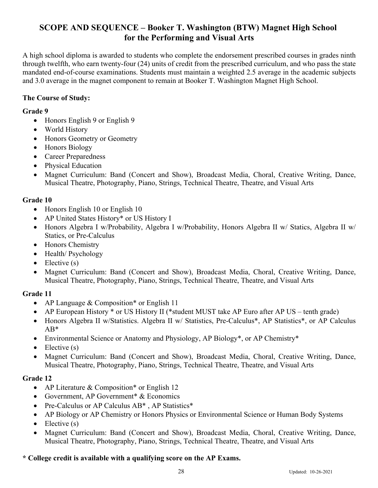## **SCOPE AND SEQUENCE – Booker T. Washington (BTW) Magnet High School for the Performing and Visual Arts**

A high school diploma is awarded to students who complete the endorsement prescribed courses in grades ninth through twelfth, who earn twenty-four (24) units of credit from the prescribed curriculum, and who pass the state mandated end-of-course examinations. Students must maintain a weighted 2.5 average in the academic subjects and 3.0 average in the magnet component to remain at Booker T. Washington Magnet High School.

#### **The Course of Study:**

#### **Grade 9**

- Honors English 9 or English 9
- World History
- Honors Geometry or Geometry
- Honors Biology
- Career Preparedness
- Physical Education
- Magnet Curriculum: Band (Concert and Show), Broadcast Media, Choral, Creative Writing, Dance, Musical Theatre, Photography, Piano, Strings, Technical Theatre, Theatre, and Visual Arts

#### **Grade 10**

- Honors English 10 or English 10
- AP United States History\* or US History I
- Honors Algebra I w/Probability, Algebra I w/Probability, Honors Algebra II w/ Statics, Algebra II w/ Statics, or Pre-Calculus
- Honors Chemistry
- Health/Psychology
- Elective  $(s)$
- Magnet Curriculum: Band (Concert and Show), Broadcast Media, Choral, Creative Writing, Dance, Musical Theatre, Photography, Piano, Strings, Technical Theatre, Theatre, and Visual Arts

## **Grade 11**

- AP Language & Composition<sup>\*</sup> or English 11
- AP European History \* or US History II (\*student MUST take AP Euro after AP US tenth grade)
- Honors Algebra II w/Statistics. Algebra II w/ Statistics, Pre-Calculus\*, AP Statistics\*, or AP Calculus AB\*
- Environmental Science or Anatomy and Physiology, AP Biology\*, or AP Chemistry\*
- Elective  $(s)$
- Magnet Curriculum: Band (Concert and Show), Broadcast Media, Choral, Creative Writing, Dance, Musical Theatre, Photography, Piano, Strings, Technical Theatre, Theatre, and Visual Arts

#### **Grade 12**

- AP Literature & Composition\* or English 12
- Government, AP Government<sup>\*</sup> & Economics
- Pre-Calculus or AP Calculus AB<sup>\*</sup>, AP Statistics<sup>\*</sup>
- AP Biology or AP Chemistry or Honors Physics or Environmental Science or Human Body Systems
- Elective  $(s)$
- Magnet Curriculum: Band (Concert and Show), Broadcast Media, Choral, Creative Writing, Dance, Musical Theatre, Photography, Piano, Strings, Technical Theatre, Theatre, and Visual Arts

#### **\* College credit is available with a qualifying score on the AP Exams.**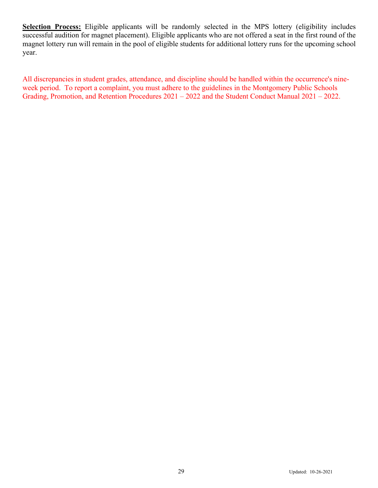**Selection Process:** Eligible applicants will be randomly selected in the MPS lottery (eligibility includes successful audition for magnet placement). Eligible applicants who are not offered a seat in the first round of the magnet lottery run will remain in the pool of eligible students for additional lottery runs for the upcoming school year.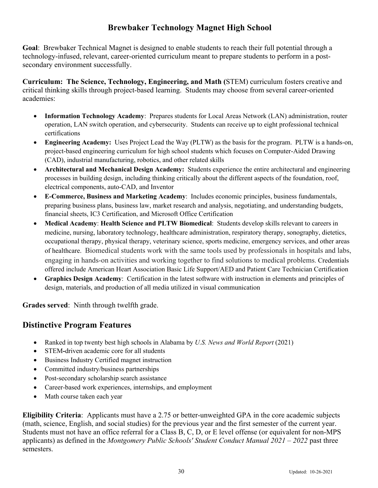## **Brewbaker Technology Magnet High School**

**Goal**: Brewbaker Technical Magnet is designed to enable students to reach their full potential through a technology-infused, relevant, career-oriented curriculum meant to prepare students to perform in a postsecondary environment successfully.

**Curriculum: The Science, Technology, Engineering, and Math (**STEM) curriculum fosters creative and critical thinking skills through project-based learning. Students may choose from several career-oriented academies:

- **Information Technology Academy**: Prepares students for Local Areas Network (LAN) administration, router operation, LAN switch operation, and cybersecurity. Students can receive up to eight professional technical certifications
- **Engineering Academy:** Uses Project Lead the Way (PLTW) as the basis for the program. PLTW is a hands-on, project-based engineering curriculum for high school students which focuses on Computer-Aided Drawing (CAD), industrial manufacturing, robotics, and other related skills
- **Architectural and Mechanical Design Academy:** Students experience the entire architectural and engineering processes in building design, including thinking critically about the different aspects of the foundation, roof, electrical components, auto-CAD, and Inventor
- **E-Commerce, Business and Marketing Academy**: Includes economic principles, business fundamentals, preparing business plans, business law, market research and analysis, negotiating, and understanding budgets, financial sheets, IC3 Certification, and Microsoft Office Certification
- **Medical Academy**: **Health Science and PLTW Biomedical**: Students develop skills relevant to careers in medicine, nursing, laboratory technology, healthcare administration, respiratory therapy, sonography, dietetics, occupational therapy, physical therapy, veterinary science, sports medicine, emergency services, and other areas of healthcare. Biomedical students work with the same tools used by professionals in hospitals and labs, engaging in hands-on activities and working together to find solutions to medical problems. Credentials offered include American Heart Association Basic Life Support/AED and Patient Care Technician Certification
- **Graphics Design Academy**: Certification in the latest software with instruction in elements and principles of design, materials, and production of all media utilized in visual communication

**Grades served**: Ninth through twelfth grade.

## **Distinctive Program Features**

- Ranked in top twenty best high schools in Alabama by *U.S. News and World Report* (2021)
- STEM**-**driven academic core for all students
- Business Industry Certified magnet instruction
- Committed industry/business partnerships
- Post-secondary scholarship search assistance
- Career-based work experiences, internships, and employment
- Math course taken each year

**Eligibility Criteria**: Applicants must have a 2.75 or better-unweighted GPA in the core academic subjects (math, science, English, and social studies) for the previous year and the first semester of the current year. Students must not have an office referral for a Class B, C, D, or E level offense (or equivalent for non-MPS applicants) as defined in the *Montgomery Public Schools' Student Conduct Manual 2021 – 2022* past three semesters.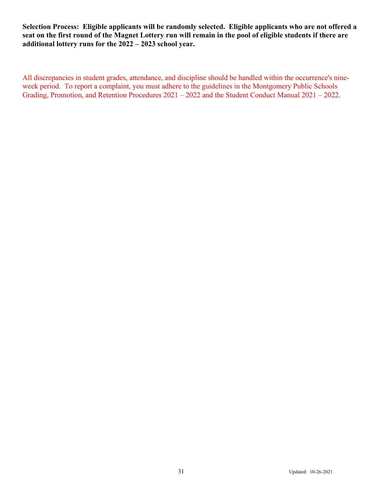**Selection Process: Eligible applicants will be randomly selected. Eligible applicants who are not offered a seat on the first round of the Magnet Lottery run will remain in the pool of eligible students if there are additional lottery runs for the 2022 – 2023 school year.**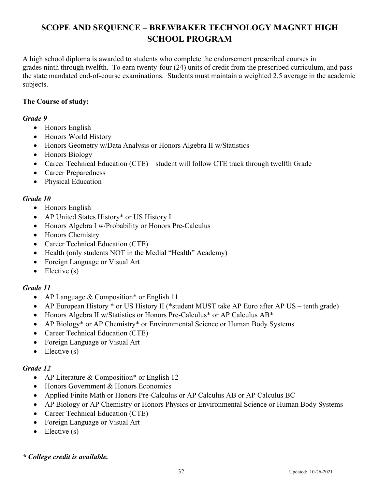## **SCOPE AND SEQUENCE – BREWBAKER TECHNOLOGY MAGNET HIGH SCHOOL PROGRAM**

A high school diploma is awarded to students who complete the endorsement prescribed courses in grades ninth through twelfth. To earn twenty-four (24) units of credit from the prescribed curriculum, and pass the state mandated end-of-course examinations. Students must maintain a weighted 2.5 average in the academic subjects.

#### **The Course of study:**

#### *Grade 9*

- Honors English
- Honors World History
- Honors Geometry w/Data Analysis or Honors Algebra II w/Statistics
- Honors Biology
- Career Technical Education (CTE) student will follow CTE track through twelfth Grade
- Career Preparedness
- Physical Education

#### *Grade 10*

- Honors English
- AP United States History\* or US History I
- Honors Algebra I w/Probability or Honors Pre-Calculus
- Honors Chemistry
- Career Technical Education (CTE)
- Health (only students NOT in the Medial "Health" Academy)
- Foreign Language or Visual Art
- Elective  $(s)$

## *Grade 11*

- AP Language & Composition\* or English 11
- AP European History \* or US History II (\*student MUST take AP Euro after AP US tenth grade)
- Honors Algebra II w/Statistics or Honors Pre-Calculus\* or AP Calculus AB\*
- AP Biology\* or AP Chemistry\* or Environmental Science or Human Body Systems
- Career Technical Education (CTE)
- Foreign Language or Visual Art
- $\bullet$  Elective (s)

## *Grade 12*

- AP Literature & Composition<sup>\*</sup> or English 12
- Honors Government & Honors Economics
- Applied Finite Math or Honors Pre-Calculus or AP Calculus AB or AP Calculus BC
- AP Biology or AP Chemistry or Honors Physics or Environmental Science or Human Body Systems
- Career Technical Education (CTE)
- Foreign Language or Visual Art
- Elective  $(s)$

*\* College credit is available.*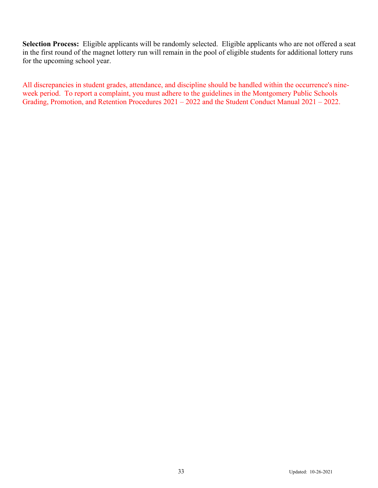**Selection Process:** Eligible applicants will be randomly selected. Eligible applicants who are not offered a seat in the first round of the magnet lottery run will remain in the pool of eligible students for additional lottery runs for the upcoming school year.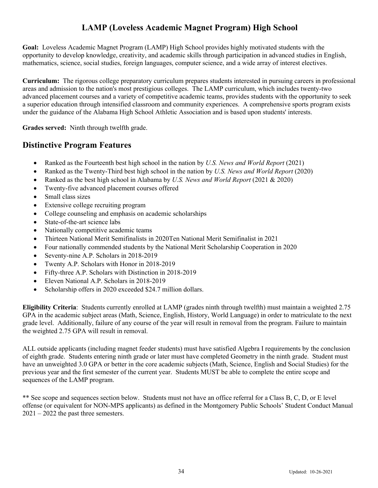## **LAMP (Loveless Academic Magnet Program) High School**

**Goal:** Loveless Academic Magnet Program (LAMP) High School provides highly motivated students with the opportunity to develop knowledge, creativity, and academic skills through participation in advanced studies in English, mathematics, science, social studies, foreign languages, computer science, and a wide array of interest electives.

**Curriculum:** The rigorous college preparatory curriculum prepares students interested in pursuing careers in professional areas and admission to the nation's most prestigious colleges. The LAMP curriculum, which includes twenty-two advanced placement courses and a variety of competitive academic teams, provides students with the opportunity to seek a superior education through intensified classroom and community experiences. A comprehensive sports program exists under the guidance of the Alabama High School Athletic Association and is based upon students' interests.

**Grades served:** Ninth through twelfth grade.

## **Distinctive Program Features**

- Ranked as the Fourteenth best high school in the nation by *U.S. News and World Report* (2021)
- Ranked as the Twenty-Third best high school in the nation by *U.S. News and World Report* (2020)
- Ranked as the best high school in Alabama by *U.S. News and World Report* (2021 & 2020)
- Twenty-five advanced placement courses offered
- Small class sizes
- Extensive college recruiting program
- College counseling and emphasis on academic scholarships
- State-of-the-art science labs
- Nationally competitive academic teams
- Thirteen National Merit Semifinalists in 2020Ten National Merit Semifinalist in 2021
- Four nationally commended students by the National Merit Scholarship Cooperation in 2020
- Seventy-nine A.P. Scholars in 2018-2019
- Twenty A.P. Scholars with Honor in 2018-2019
- Fifty-three A.P. Scholars with Distinction in 2018-2019
- Eleven National A.P. Scholars in 2018-2019
- Scholarship offers in 2020 exceeded \$24.7 million dollars.

**Eligibility Criteria**: Students currently enrolled at LAMP (grades ninth through twelfth) must maintain a weighted 2.75 GPA in the academic subject areas (Math, Science, English, History, World Language) in order to matriculate to the next grade level. Additionally, failure of any course of the year will result in removal from the program. Failure to maintain the weighted 2.75 GPA will result in removal.

ALL outside applicants (including magnet feeder students) must have satisfied Algebra I requirements by the conclusion of eighth grade. Students entering ninth grade or later must have completed Geometry in the ninth grade. Student must have an unweighted 3.0 GPA or better in the core academic subjects (Math, Science, English and Social Studies) for the previous year and the first semester of the current year. Students MUST be able to complete the entire scope and sequences of the LAMP program.

\*\* See scope and sequences section below. Students must not have an office referral for a Class B, C, D, or E level offense (or equivalent for NON-MPS applicants) as defined in the Montgomery Public Schools' Student Conduct Manual 2021 – 2022 the past three semesters.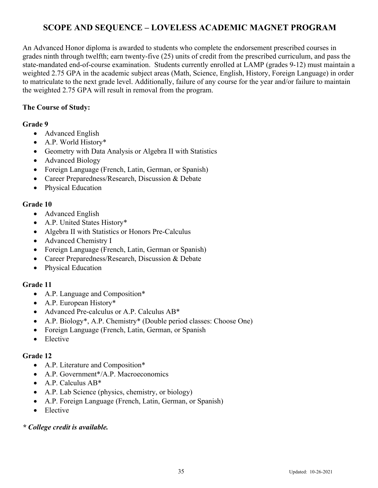## **SCOPE AND SEQUENCE – LOVELESS ACADEMIC MAGNET PROGRAM**

An Advanced Honor diploma is awarded to students who complete the endorsement prescribed courses in grades ninth through twelfth; earn twenty-five (25) units of credit from the prescribed curriculum, and pass the state-mandated end-of-course examination. Students currently enrolled at LAMP (grades 9-12) must maintain a weighted 2.75 GPA in the academic subject areas (Math, Science, English, History, Foreign Language) in order to matriculate to the next grade level. Additionally, failure of any course for the year and/or failure to maintain the weighted 2.75 GPA will result in removal from the program.

#### **The Course of Study:**

#### **Grade 9**

- Advanced English
- A.P. World History\*
- Geometry with Data Analysis or Algebra II with Statistics
- Advanced Biology
- Foreign Language (French, Latin, German, or Spanish)
- Career Preparedness/Research, Discussion & Debate
- Physical Education

#### **Grade 10**

- Advanced English
- A.P. United States History\*
- Algebra II with Statistics or Honors Pre-Calculus
- Advanced Chemistry I
- Foreign Language (French, Latin, German or Spanish)
- Career Preparedness/Research, Discussion & Debate
- Physical Education

#### **Grade 11**

- A.P. Language and Composition\*
- A.P. European History\*
- Advanced Pre-calculus or A.P. Calculus AB\*
- A.P. Biology<sup>\*</sup>, A.P. Chemistry<sup>\*</sup> (Double period classes: Choose One)
- Foreign Language (French, Latin, German, or Spanish
- Elective

#### **Grade 12**

- A.P. Literature and Composition\*
- A.P. Government<sup>\*</sup>/A.P. Macroeconomics
- A.P. Calculus AB\*
- A.P. Lab Science (physics, chemistry, or biology)
- A.P. Foreign Language (French, Latin, German, or Spanish)
- Elective

#### *\* College credit is available.*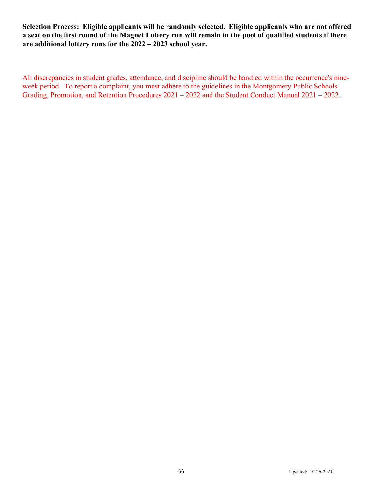**Selection Process: Eligible applicants will be randomly selected. Eligible applicants who are not offered a seat on the first round of the Magnet Lottery run will remain in the pool of qualified students if there are additional lottery runs for the 2022 – 2023 school year.**